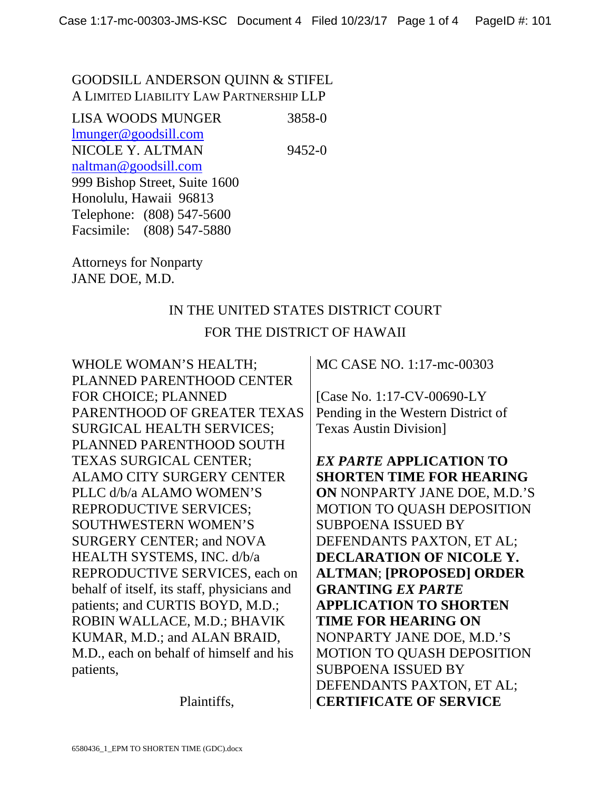### GOODSILL ANDERSON QUINN & STIFEL A LIMITED LIABILITY LAW PARTNERSHIP LLP

LISA WOODS MUNGER 3858-0 lmunger@goodsill.com NICOLE Y. ALTMAN 9452-0 naltman@goodsill.com 999 Bishop Street, Suite 1600 Honolulu, Hawaii 96813 Telephone: (808) 547-5600 Facsimile: (808) 547-5880

Attorneys for Nonparty JANE DOE, M.D.

## IN THE UNITED STATES DISTRICT COURT FOR THE DISTRICT OF HAWAII

WHOLE WOMAN'S HEALTH; PLANNED PARENTHOOD CENTER FOR CHOICE; PLANNED PARENTHOOD OF GREATER TEXAS SURGICAL HEALTH SERVICES; PLANNED PARENTHOOD SOUTH TEXAS SURGICAL CENTER; ALAMO CITY SURGERY CENTER PLLC d/b/a ALAMO WOMEN'S REPRODUCTIVE SERVICES; SOUTHWESTERN WOMEN'S SURGERY CENTER; and NOVA HEALTH SYSTEMS, INC. d/b/a REPRODUCTIVE SERVICES, each on behalf of itself, its staff, physicians and patients; and CURTIS BOYD, M.D.; ROBIN WALLACE, M.D.; BHAVIK KUMAR, M.D.; and ALAN BRAID, M.D., each on behalf of himself and his patients,

Plaintiffs,

MC CASE NO. 1:17-mc-00303

[Case No. 1:17-CV-00690-LY Pending in the Western District of Texas Austin Division]

*EX PARTE* **APPLICATION TO SHORTEN TIME FOR HEARING ON** NONPARTY JANE DOE, M.D.'S MOTION TO QUASH DEPOSITION SUBPOENA ISSUED BY DEFENDANTS PAXTON, ET AL; **DECLARATION OF NICOLE Y. ALTMAN**; **[PROPOSED] ORDER GRANTING** *EX PARTE*  **APPLICATION TO SHORTEN TIME FOR HEARING ON**  NONPARTY JANE DOE, M.D.'S MOTION TO QUASH DEPOSITION SUBPOENA ISSUED BY DEFENDANTS PAXTON, ET AL; **CERTIFICATE OF SERVICE**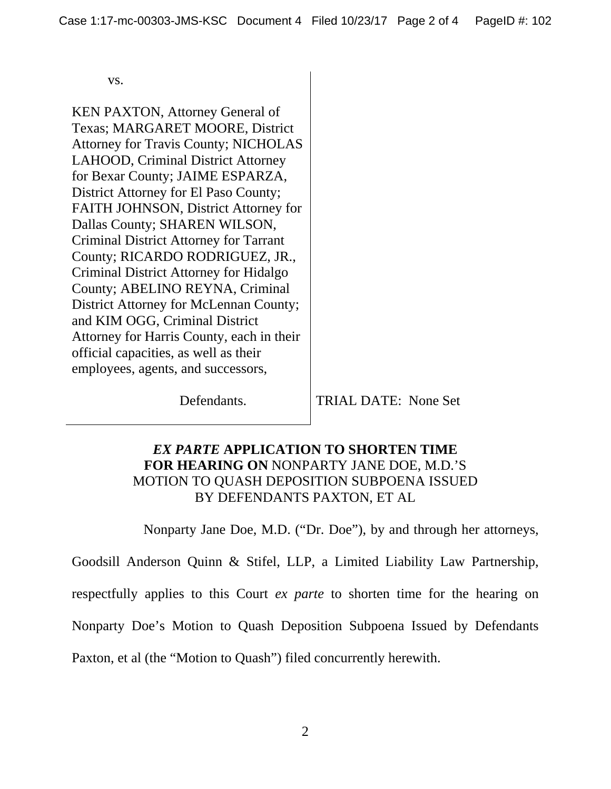vs.

KEN PAXTON, Attorney General of Texas; MARGARET MOORE, District Attorney for Travis County; NICHOLAS LAHOOD, Criminal District Attorney for Bexar County; JAIME ESPARZA, District Attorney for El Paso County; FAITH JOHNSON, District Attorney for Dallas County; SHAREN WILSON, Criminal District Attorney for Tarrant County; RICARDO RODRIGUEZ, JR., Criminal District Attorney for Hidalgo County; ABELINO REYNA, Criminal District Attorney for McLennan County; and KIM OGG, Criminal District Attorney for Harris County, each in their official capacities, as well as their employees, agents, and successors,

Defendants. TRIAL DATE: None Set

#### *EX PARTE* **APPLICATION TO SHORTEN TIME FOR HEARING ON** NONPARTY JANE DOE, M.D.'S MOTION TO QUASH DEPOSITION SUBPOENA ISSUED BY DEFENDANTS PAXTON, ET AL

Nonparty Jane Doe, M.D. ("Dr. Doe"), by and through her attorneys,

Goodsill Anderson Quinn & Stifel, LLP, a Limited Liability Law Partnership, respectfully applies to this Court *ex parte* to shorten time for the hearing on Nonparty Doe's Motion to Quash Deposition Subpoena Issued by Defendants

Paxton, et al (the "Motion to Quash") filed concurrently herewith.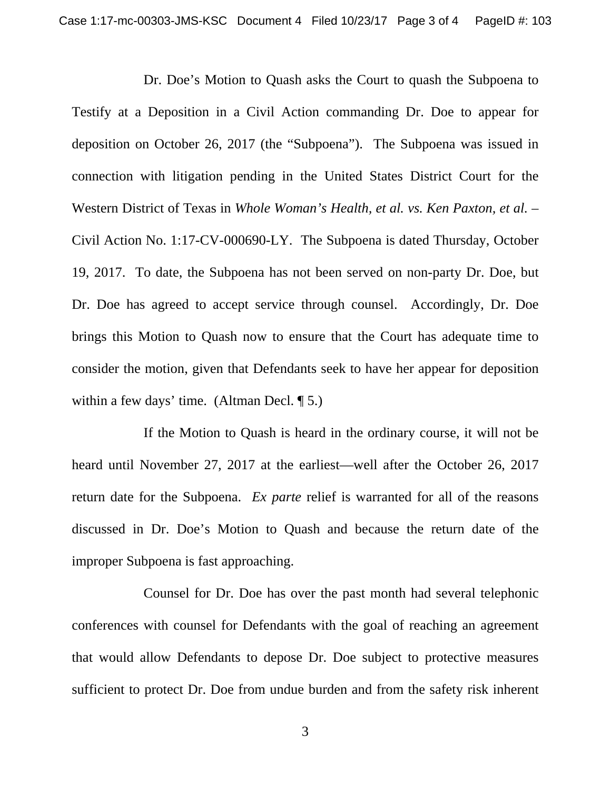Dr. Doe's Motion to Quash asks the Court to quash the Subpoena to Testify at a Deposition in a Civil Action commanding Dr. Doe to appear for deposition on October 26, 2017 (the "Subpoena"). The Subpoena was issued in connection with litigation pending in the United States District Court for the Western District of Texas in *Whole Woman's Health, et al. vs. Ken Paxton, et al.* – Civil Action No. 1:17-CV-000690-LY. The Subpoena is dated Thursday, October 19, 2017. To date, the Subpoena has not been served on non-party Dr. Doe, but Dr. Doe has agreed to accept service through counsel. Accordingly, Dr. Doe brings this Motion to Quash now to ensure that the Court has adequate time to consider the motion, given that Defendants seek to have her appear for deposition within a few days' time. (Altman Decl. 15.)

If the Motion to Quash is heard in the ordinary course, it will not be heard until November 27, 2017 at the earliest—well after the October 26, 2017 return date for the Subpoena. *Ex parte* relief is warranted for all of the reasons discussed in Dr. Doe's Motion to Quash and because the return date of the improper Subpoena is fast approaching.

Counsel for Dr. Doe has over the past month had several telephonic conferences with counsel for Defendants with the goal of reaching an agreement that would allow Defendants to depose Dr. Doe subject to protective measures sufficient to protect Dr. Doe from undue burden and from the safety risk inherent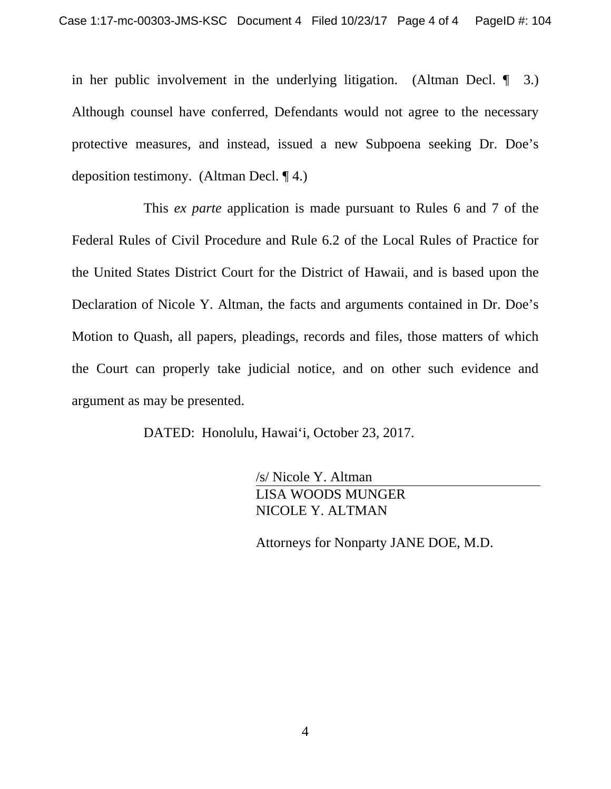in her public involvement in the underlying litigation. (Altman Decl. ¶ 3.) Although counsel have conferred, Defendants would not agree to the necessary protective measures, and instead, issued a new Subpoena seeking Dr. Doe's deposition testimony. (Altman Decl. ¶ 4.)

This *ex parte* application is made pursuant to Rules 6 and 7 of the Federal Rules of Civil Procedure and Rule 6.2 of the Local Rules of Practice for the United States District Court for the District of Hawaii, and is based upon the Declaration of Nicole Y. Altman, the facts and arguments contained in Dr. Doe's Motion to Quash, all papers, pleadings, records and files, those matters of which the Court can properly take judicial notice, and on other such evidence and argument as may be presented.

DATED: Honolulu, Hawai'i, October 23, 2017.

/s/ Nicole Y. Altman LISA WOODS MUNGER NICOLE Y. ALTMAN

Attorneys for Nonparty JANE DOE, M.D.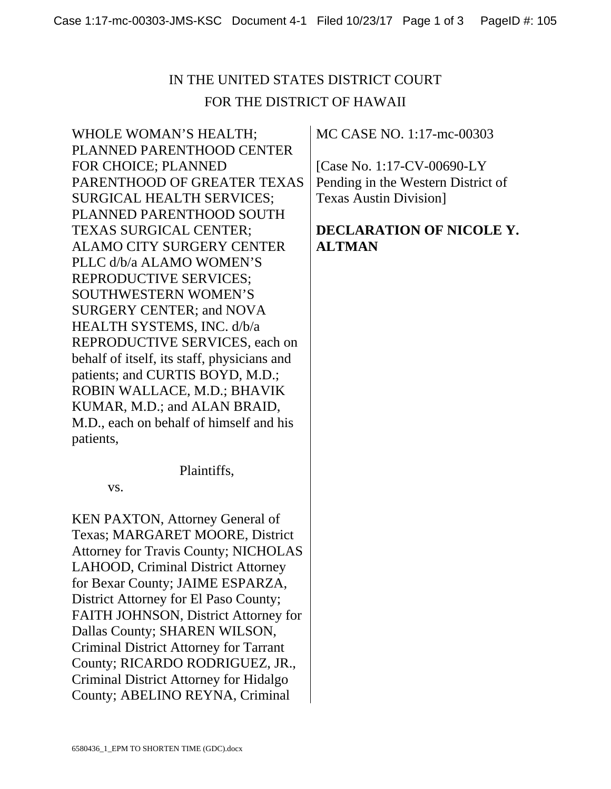# IN THE UNITED STATES DISTRICT COURT FOR THE DISTRICT OF HAWAII

WHOLE WOMAN'S HEALTH; PLANNED PARENTHOOD CENTER FOR CHOICE; PLANNED PARENTHOOD OF GREATER TEXAS SURGICAL HEALTH SERVICES; PLANNED PARENTHOOD SOUTH TEXAS SURGICAL CENTER; ALAMO CITY SURGERY CENTER PLLC d/b/a ALAMO WOMEN'S REPRODUCTIVE SERVICES; SOUTHWESTERN WOMEN'S SURGERY CENTER; and NOVA HEALTH SYSTEMS, INC. d/b/a REPRODUCTIVE SERVICES, each on behalf of itself, its staff, physicians and patients; and CURTIS BOYD, M.D.; ROBIN WALLACE, M.D.; BHAVIK KUMAR, M.D.; and ALAN BRAID, M.D., each on behalf of himself and his patients,

Plaintiffs,

vs.

KEN PAXTON, Attorney General of Texas; MARGARET MOORE, District Attorney for Travis County; NICHOLAS LAHOOD, Criminal District Attorney for Bexar County; JAIME ESPARZA, District Attorney for El Paso County; FAITH JOHNSON, District Attorney for Dallas County; SHAREN WILSON, Criminal District Attorney for Tarrant County; RICARDO RODRIGUEZ, JR., Criminal District Attorney for Hidalgo County; ABELINO REYNA, Criminal

MC CASE NO. 1:17-mc-00303

[Case No. 1:17-CV-00690-LY Pending in the Western District of Texas Austin Division]

### **DECLARATION OF NICOLE Y. ALTMAN**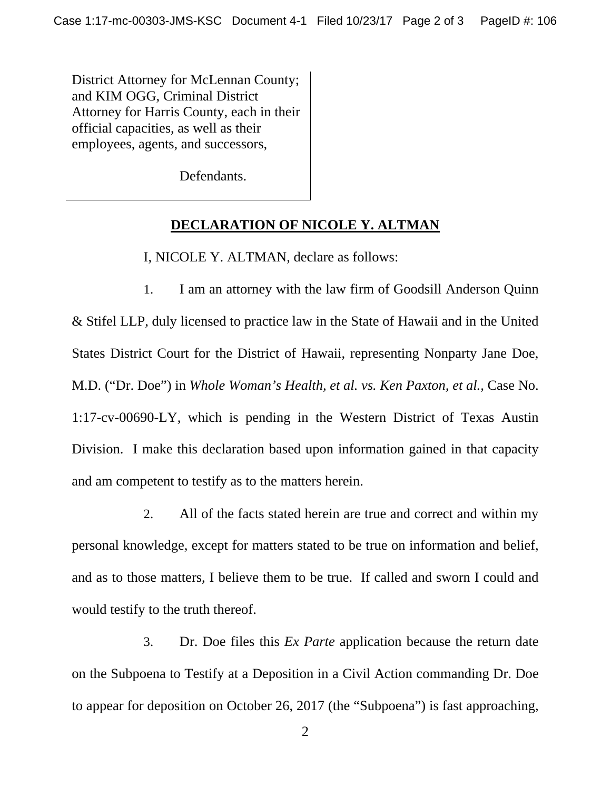District Attorney for McLennan County; and KIM OGG, Criminal District Attorney for Harris County, each in their official capacities, as well as their employees, agents, and successors,

Defendants.

#### **DECLARATION OF NICOLE Y. ALTMAN**

I, NICOLE Y. ALTMAN, declare as follows:

1. I am an attorney with the law firm of Goodsill Anderson Quinn & Stifel LLP, duly licensed to practice law in the State of Hawaii and in the United States District Court for the District of Hawaii, representing Nonparty Jane Doe, M.D. ("Dr. Doe") in *Whole Woman's Health, et al. vs. Ken Paxton, et al.,* Case No. 1:17-cv-00690-LY, which is pending in the Western District of Texas Austin Division. I make this declaration based upon information gained in that capacity and am competent to testify as to the matters herein.

2. All of the facts stated herein are true and correct and within my personal knowledge, except for matters stated to be true on information and belief, and as to those matters, I believe them to be true. If called and sworn I could and would testify to the truth thereof.

3. Dr. Doe files this *Ex Parte* application because the return date on the Subpoena to Testify at a Deposition in a Civil Action commanding Dr. Doe to appear for deposition on October 26, 2017 (the "Subpoena") is fast approaching,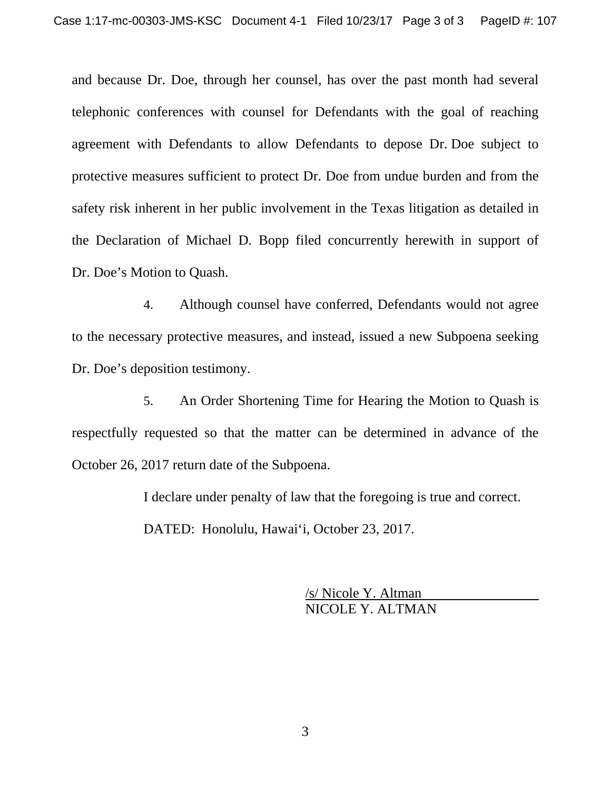and because Dr. Doe, through her counsel, has over the past month had several telephonic conferences with counsel for Defendants with the goal of reaching agreement with Defendants to allow Defendants to depose Dr. Doe subject to protective measures sufficient to protect Dr. Doe from undue burden and from the safety risk inherent in her public involvement in the Texas litigation as detailed in the Declaration of Michael D. Bopp filed concurrently herewith in support of Dr. Doe's Motion to Quash.

4. Although counsel have conferred, Defendants would not agree to the necessary protective measures, and instead, issued a new Subpoena seeking Dr. Doe's deposition testimony.

5. An Order Shortening Time for Hearing the Motion to Quash is respectfully requested so that the matter can be determined in advance of the October 26, 2017 return date of the Subpoena.

I declare under penalty of law that the foregoing is true and correct.

DATED: Honolulu, Hawai'i, October 23, 2017.

/s/ Nicole Y. Altman NICOLE Y. ALTMAN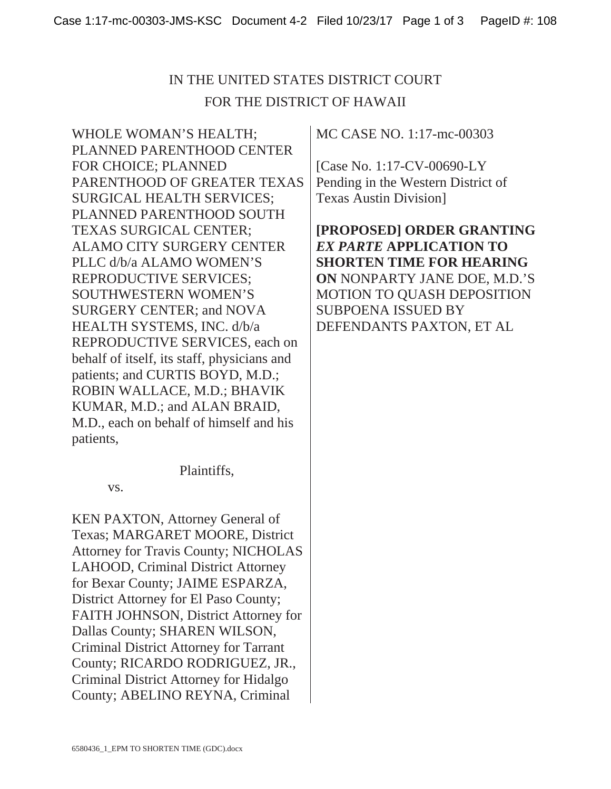# IN THE UNITED STATES DISTRICT COURT FOR THE DISTRICT OF HAWAII

WHOLE WOMAN'S HEALTH; PLANNED PARENTHOOD CENTER FOR CHOICE; PLANNED PARENTHOOD OF GREATER TEXAS SURGICAL HEALTH SERVICES; PLANNED PARENTHOOD SOUTH TEXAS SURGICAL CENTER; ALAMO CITY SURGERY CENTER PLLC d/b/a ALAMO WOMEN'S REPRODUCTIVE SERVICES; SOUTHWESTERN WOMEN'S SURGERY CENTER; and NOVA HEALTH SYSTEMS, INC. d/b/a REPRODUCTIVE SERVICES, each on behalf of itself, its staff, physicians and patients; and CURTIS BOYD, M.D.; ROBIN WALLACE, M.D.; BHAVIK KUMAR, M.D.; and ALAN BRAID, M.D., each on behalf of himself and his patients,

Plaintiffs,

vs.

KEN PAXTON, Attorney General of Texas; MARGARET MOORE, District Attorney for Travis County; NICHOLAS LAHOOD, Criminal District Attorney for Bexar County; JAIME ESPARZA, District Attorney for El Paso County; FAITH JOHNSON, District Attorney for Dallas County; SHAREN WILSON, Criminal District Attorney for Tarrant County; RICARDO RODRIGUEZ, JR., Criminal District Attorney for Hidalgo County; ABELINO REYNA, Criminal

MC CASE NO. 1:17-mc-00303

[Case No. 1:17-CV-00690-LY Pending in the Western District of Texas Austin Division]

**[PROPOSED] ORDER GRANTING**  *EX PARTE* **APPLICATION TO SHORTEN TIME FOR HEARING ON** NONPARTY JANE DOE, M.D.'S MOTION TO QUASH DEPOSITION SUBPOENA ISSUED BY DEFENDANTS PAXTON, ET AL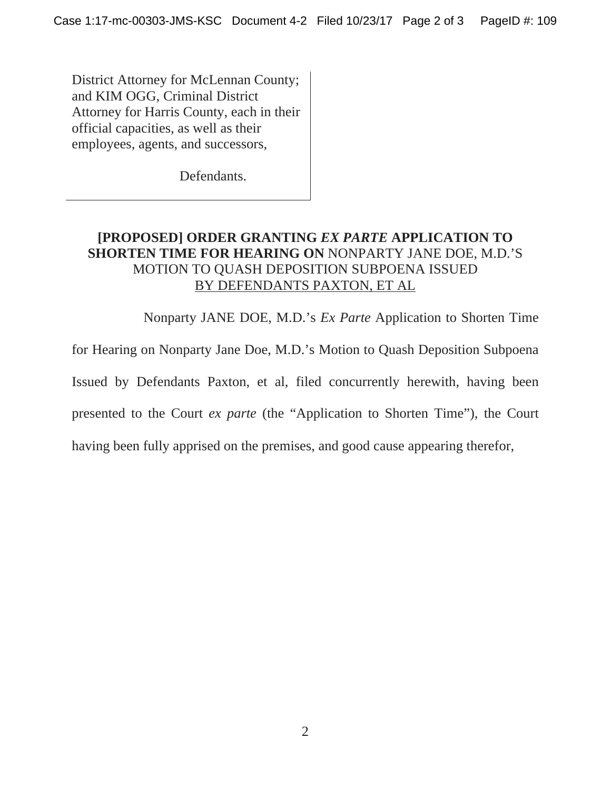District Attorney for McLennan County; and KIM OGG, Criminal District Attorney for Harris County, each in their official capacities, as well as their employees, agents, and successors,

Defendants.

### **[PROPOSED] ORDER GRANTING** *EX PARTE* **APPLICATION TO SHORTEN TIME FOR HEARING ON** NONPARTY JANE DOE, M.D.'S MOTION TO QUASH DEPOSITION SUBPOENA ISSUED BY DEFENDANTS PAXTON, ET AL

Nonparty JANE DOE, M.D.'s *Ex Parte* Application to Shorten Time

for Hearing on Nonparty Jane Doe, M.D.'s Motion to Quash Deposition Subpoena

Issued by Defendants Paxton, et al, filed concurrently herewith, having been

presented to the Court *ex parte* (the "Application to Shorten Time"), the Court

having been fully apprised on the premises, and good cause appearing therefor,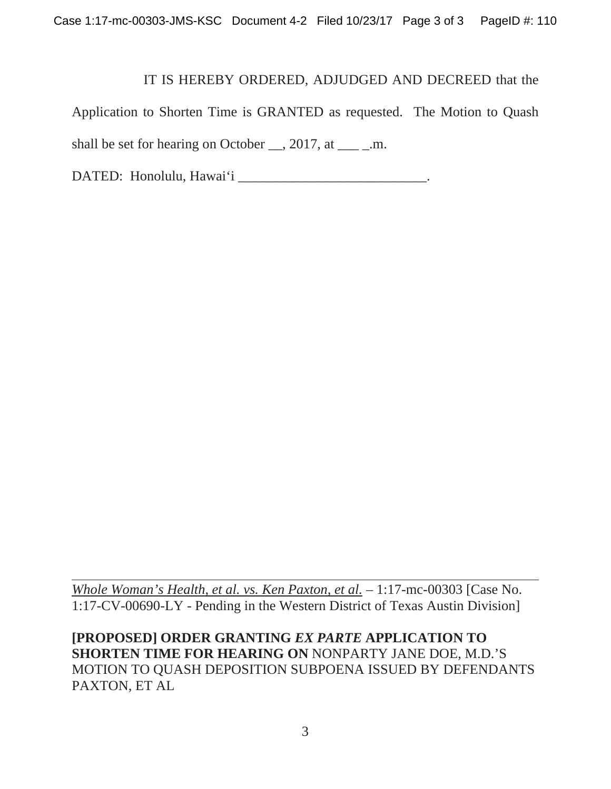#### IT IS HEREBY ORDERED, ADJUDGED AND DECREED that the

Application to Shorten Time is GRANTED as requested. The Motion to Quash shall be set for hearing on October  $\_\_$ , 2017, at  $\_\_$ .m.

DATED: Honolulu, Hawai'i \_\_\_\_\_\_\_\_\_\_\_\_\_\_\_\_\_\_\_\_\_\_\_\_\_\_\_\_.

*Whole Woman's Health, et al. vs. Ken Paxton, et al.* – 1:17-mc-00303 [Case No. 1:17-CV-00690-LY - Pending in the Western District of Texas Austin Division]

**[PROPOSED] ORDER GRANTING** *EX PARTE* **APPLICATION TO SHORTEN TIME FOR HEARING ON** NONPARTY JANE DOE, M.D.'S MOTION TO QUASH DEPOSITION SUBPOENA ISSUED BY DEFENDANTS PAXTON, ET AL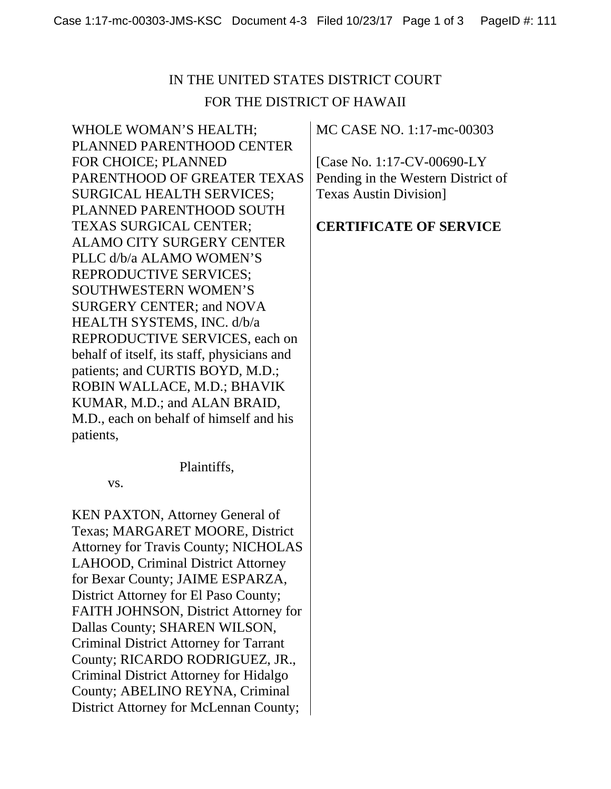# IN THE UNITED STATES DISTRICT COURT FOR THE DISTRICT OF HAWAII

WHOLE WOMAN'S HEALTH; PLANNED PARENTHOOD CENTER FOR CHOICE; PLANNED PARENTHOOD OF GREATER TEXAS SURGICAL HEALTH SERVICES; PLANNED PARENTHOOD SOUTH TEXAS SURGICAL CENTER; ALAMO CITY SURGERY CENTER PLLC d/b/a ALAMO WOMEN'S REPRODUCTIVE SERVICES; SOUTHWESTERN WOMEN'S SURGERY CENTER; and NOVA HEALTH SYSTEMS, INC. d/b/a REPRODUCTIVE SERVICES, each on behalf of itself, its staff, physicians and patients; and CURTIS BOYD, M.D.; ROBIN WALLACE, M.D.; BHAVIK KUMAR, M.D.; and ALAN BRAID, M.D., each on behalf of himself and his patients,

Plaintiffs,

vs.

KEN PAXTON, Attorney General of Texas; MARGARET MOORE, District Attorney for Travis County; NICHOLAS LAHOOD, Criminal District Attorney for Bexar County; JAIME ESPARZA, District Attorney for El Paso County; FAITH JOHNSON, District Attorney for Dallas County; SHAREN WILSON, Criminal District Attorney for Tarrant County; RICARDO RODRIGUEZ, JR., Criminal District Attorney for Hidalgo County; ABELINO REYNA, Criminal District Attorney for McLennan County;

MC CASE NO. 1:17-mc-00303

[Case No. 1:17-CV-00690-LY Pending in the Western District of Texas Austin Division]

### **CERTIFICATE OF SERVICE**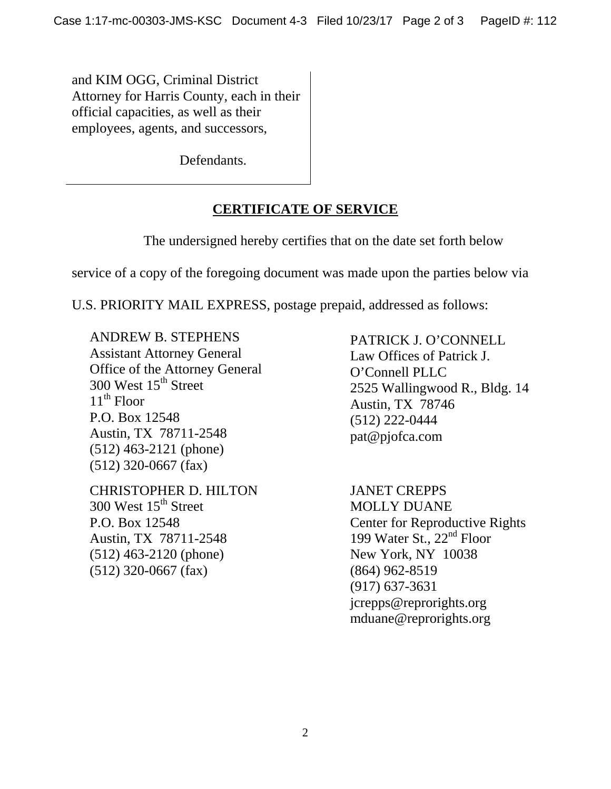and KIM OGG, Criminal District Attorney for Harris County, each in their official capacities, as well as their employees, agents, and successors,

Defendants.

## **CERTIFICATE OF SERVICE**

The undersigned hereby certifies that on the date set forth below

service of a copy of the foregoing document was made upon the parties below via

U.S. PRIORITY MAIL EXPRESS, postage prepaid, addressed as follows:

ANDREW B. STEPHENS Assistant Attorney General Office of the Attorney General 300 West 15<sup>th</sup> Street  $11^{th}$  Floor P.O. Box 12548 Austin, TX 78711-2548 (512) 463-2121 (phone) (512) 320-0667 (fax)

CHRISTOPHER D. HILTON 300 West  $15<sup>th</sup>$  Street P.O. Box 12548 Austin, TX 78711-2548 (512) 463-2120 (phone) (512) 320-0667 (fax)

PATRICK J. O'CONNELL Law Offices of Patrick J. O'Connell PLLC 2525 Wallingwood R., Bldg. 14 Austin, TX 78746 (512) 222-0444 pat@pjofca.com

JANET CREPPS MOLLY DUANE Center for Reproductive Rights 199 Water St., 22<sup>nd</sup> Floor New York, NY 10038 (864) 962-8519 (917) 637-3631 jcrepps@reprorights.org mduane@reprorights.org